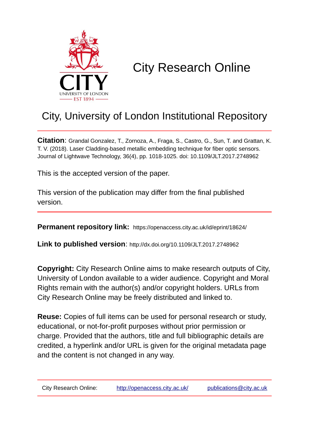

# City Research Online

## City, University of London Institutional Repository

**Citation**: Grandal Gonzalez, T., Zornoza, A., Fraga, S., Castro, G., Sun, T. and Grattan, K. T. V. (2018). Laser Cladding-based metallic embedding technique for fiber optic sensors. Journal of Lightwave Technology, 36(4), pp. 1018-1025. doi: 10.1109/JLT.2017.2748962

This is the accepted version of the paper.

This version of the publication may differ from the final published version.

**Permanent repository link:** https://openaccess.city.ac.uk/id/eprint/18624/

**Link to published version**: http://dx.doi.org/10.1109/JLT.2017.2748962

**Copyright:** City Research Online aims to make research outputs of City, University of London available to a wider audience. Copyright and Moral Rights remain with the author(s) and/or copyright holders. URLs from City Research Online may be freely distributed and linked to.

**Reuse:** Copies of full items can be used for personal research or study, educational, or not-for-profit purposes without prior permission or charge. Provided that the authors, title and full bibliographic details are credited, a hyperlink and/or URL is given for the original metadata page and the content is not changed in any way.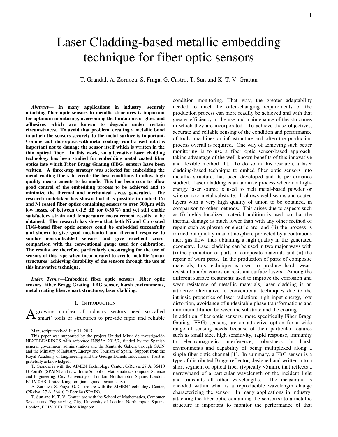### 1

## Laser Cladding-based metallic embedding technique for fiber optic sensors

T. Grandal, A. Zornoza, S. Fraga, G. Castro, T. Sun and K. T. V. Grattan

*Abstract***— In many applications in industry, securely attaching fiber optic sensors to metallic structures is important for optimum monitoring, overcoming the limitations of glues and adhesives which are known to degrade under certain circumstances. To avoid that problem, creating a metallic bond to attach the sensors securely to the metal surface is important. Commercial fiber optics with metal coatings can be used but it is important not to damage the sensor itself which is written in the thin optical fiber. In this work, an alternative laser cladding technology has been studied for embedding metal coated fiber optics into which Fiber Bragg Grating (FBG) sensors have been written. A three-step strategy was selected for embedding the metal coating fibers to create the best conditions to allow high quality measurements to be made. This has been seen to allow good control of the embedding process to be achieved and to minimize the thermal and mechanical stress generated. The research undetaken has shown that it is possible to embed Cu and Ni coated fiber optics containing sensors to over 300µm with low losses, of between 0-1.5 dB (or 0-30%) and yet still enable satisfactory strain and temperature measurement results to be obtained. The research has shown that both Ni and Cu coated FBG-based fiber optic sensors could be embedded successfully and shown to give good mechanical and thermal response to similar non-embedded sensors and give excellent crosscomparison with the conventional gauge used for calibration. The results are therefore particularly encouraging for the use of sensors of this type when incorporated to create metallic 'smart structures' achieving durability of the sensors through the use of this innovative technique.** 

*Index Terms***—Embedded fiber optic sensors, Fiber optic sensors, Fiber Bragg Grating, FBG sensor, harsh environments, metal coating fiber, smart structures, laser cladding.** 

#### I. INTRODUCTION

growing number of industry sectors need so-called A growing number of industry sectors need so-called<br>
Y'smart' tools or structures to provide rapid and reliable

Manuscript received July 31, 2017.

This paper was supported by the project Unidad Mixta de investigación NEXT-BEARINGS with reference IN853A 2015/2, funded by the Spanish general government administration and the Xunta de Galicia through GAIN and the Ministry of Industry, Energy and Tourism of Spain. Support from the Royal Academy of Engineering and the George Daniels Educational Trust is gratefully acknowledged.

T. Grandal is with the AIMEN Technology Center, C/Relva, 27 A, 36410 O Porriño (SPAIN) and is with the School of Mathematics, Computer Science and Engineering, City, University of London, Northampton Square, London, EC1V 0HB, United Kingdom (tania.grandal@aimen.es).

A. Zornoza, S. Fraga, G. Castro are with the AIMEN Technology Center, C/Relva, 27 A, 36410 O Porriño (SPAIN).

T. Sun and K. T. V. Grattan are with the School of Mathematics, Computer Science and Engineering, City, University of London, Northampton Square, London, EC1V 0HB, United Kingdom.

condition monitoring. That way, the greater adaptability needed to meet the often-changing requirements of the production process can more readily be achieved and with that greater efficiency in the use and maintenance of the structures in which they are incorporated. To achieve those objectives, accurate and reliable sensing of the condition and performance of tools, machines or infrastructure and often the production process overall is required. One way of achieving such better monitoring is to use a fiber optic sensor-based approach, taking advantage of the well-known benefits of this innovative and flexible method [\[1\]](#page-7-0). To do so in this research, a laser cladding-based technique to embed fiber optic sensors into metallic structures has been developed and its performance studied. Laser cladding is an additive process wherein a highenergy laser source is used to melt metal-based powder or wire on to a metal substrate. It allows weld seams and coated layers with a very high quality of union to be obtained, in comparison to other methods. This arises due to aspects such as (i) highly localized material addition is used, so that the thermal damage is much lower than with any other method of repair such as plasma or electric arc; and (ii) the process is carried out quickly in an atmosphere protected by a continuous inert gas flow, thus obtaining a high quality in the generated geometry. Laser cladding can be used in two major ways with (i) the production of parts of composite materials and (ii) the repair of worn parts. In the production of parts of composite materials, this technique is used to produce hard, wearresistant and/or corrosion-resistant surface layers. Among the different surface treatments used to improve the corrosion and wear resistance of metallic materials, laser cladding is an attractive alternative to conventional techniques due to the intrinsic properties of laser radiation: high input energy, low distortion, avoidance of undesirable phase transformations and minimum dilution between the substrate and the coating.

In addition, fiber optic sensors, more specifically Fiber Bragg Grating (FBG) sensors, are an attractive option for a wide range of sensing needs because of their particular features such as small size, high sensitivity, rapid response, immunity to electromagnetic interference, robustness in harsh environments and capability of being multiplexed along a single fiber optic channel [1]. In summary, a FBG sensor is a type of distributed Bragg reflector, designed and written into a short segment of optical fiber (typically <5mm), that reflects a narrowband of a particular wavelength of the incident light and transmits all other wavelengths. The measurand is encoded within what is a reproducible wavelength change characterizing the sensor. In many applications in industry, attaching the fiber optic containing the sensor(s) to a metallic structure is important to monitor the performance of that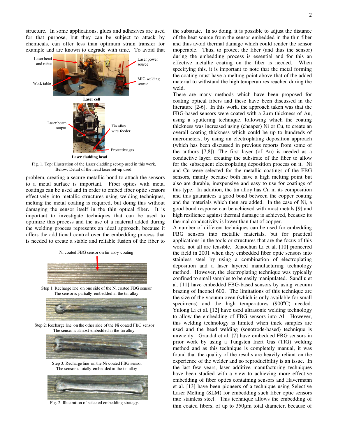structure. In some applications, glues and adhesives are used for that purpose, but they can be subject to attack by chemicals, can offer less than optimum strain transfer for example and are known to degrade with time. To avoid that



Fig. 1. Top: Illustration of the Laser cladding set-up used in this work, Below: Detail of the head laser set-up used.

problem, creating a secure metallic bond to attach the sensors to a metal surface is important. Fiber optics with metal coatings can be used and in order to embed fiber optic sensors effectively into metallic structures using welding techniques, melting the metal coating is required, but doing this without damaging the sensor itself in the thin optical fiber. It is important to investigate techniques that can be used to optimize this process and the use of a material added during the welding process represents an ideal approach, because it offers the additional control over the embedding process that is needed to create a stable and reliable fusion of the fiber to







Fig. 2. Illustration of selected embedding strategy.

the substrate. In so doing, it is possible to adjust the distance of the heat source from the sensor embedded in the thin fiber and thus avoid thermal damage which could render the sensor inoperable. Thus, to protect the fiber (and thus the sensor) during the embedding process is essential and for this an effective metallic coating on the fiber is needed. When specifying this, it is important to note that the metal forming the coating must have a melting point above that of the added material to withstand the high temperatures reached during the weld.

There are many methods which have been proposed for coating optical fibers and these have been discussed in the literature [\[2-](#page-7-1)[6\]](#page-7-2). In this work, the approach taken was that the FBG-based sensors were coated with a 2µm thickness of Au, using a sputtering technique, following which the coating thickness was increased using (cheaper) Ni or Cu, to create an overall coating thickness which could be up to hundreds of micrometers, by using an electroplating deposition approach (which has been discussed in previous reports from some of the authors [\[7](#page-7-3)[,8\]](#page-7-4)). The first layer (of Au) is needed as a conductive layer, creating the substrate of the fiber to allow for the subsequent electroplating deposition process on it. Ni and Cu were selected for the metallic coatings of the FBG sensors, mainly because both have a high melting point but also are durable, inexpensive and easy to use for coatings of this type. In addition, the tin alloy has Cu in its composition and this guarantees a good bond between the copper coating and the materials which then are added. In the case of Ni, a good bond response can be achieved with most metals [\[9\]](#page-7-5) and high resilience against thermal damage is achieved, because its thermal conductivity is lower than that of copper.

A number of different techniques can be used for embedding FBG sensors into metallic materials, but for practical applications in the tools or structures that are the focus of this work, not all are feasible. Xiaochun Li et al. [\[10\]](#page-7-6) pioneered the field in 2001 when they embedded fiber optic sensors into stainless steel by using a combination of electroplating deposition and a laser layered manufacturing technology method. However, the electroplating technique was typically confined to small samples to be easily manipulated. Sandliu et al. [\[11\]](#page-7-7) have embedded FBG-based sensors by using vacuum brazing of Inconel 600. The limitations of this technique are the size of the vacuum oven (which is only available for small specimens) and the high temperatures  $(900^{\circ}C)$  needed. Yulong Li et al. [\[12\]](#page-7-8) have used ultrasonic welding technology to allow the embedding of FBG sensors into Al. However, this welding technology is limited when thick samples are used and the head welding (sonotrode-based) technique is unwieldy. Grandal et al. [\[7\]](#page-7-3) have embedded FBG sensors in prior work by using a Tungsten Inert Gas (TIG) welding method and as this technique is completely manual, it was found that the quality of the results are heavily reliant on the experience of the welder and so reproducibility is an issue. In the last few years, laser additive manufacturing techniques have been studied with a view to achieving more effective embedding of fiber optics containing sensors and Havermann et al. [\[13\]](#page-7-9) have been pioneers of a technique using Selective Laser Melting (SLM) for embedding such fiber optic sensors into stainless steel. This technique allows the embedding of thin coated fibers, of up to  $350\mu m$  total diameter, because of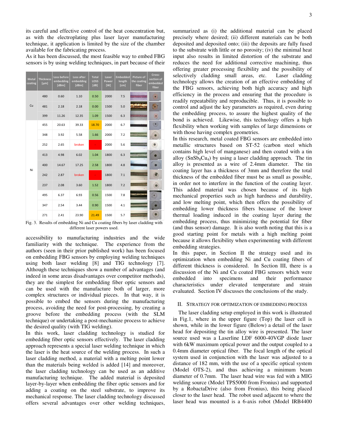its careful and effective control of the heat concentration but, as with the electroplating plus laser layer manufacturing technique, it application is limited by the size of the chamber available for the fabricating process.

As it has been discussed, the most feasible way to embed FBG sensors is by using welding techniques, in part because of their

| <b>Metal</b><br>coating | <b>Thickness</b><br>[µm] | Loss before<br>embedding<br>[dBm] | Loss after<br>embedding<br>[dBm] | <b>Total</b><br>LOSS<br>[dB] | Laser<br>Power<br>[W] | <b>Embedded</b><br>length<br>[cm] | <b>Picture of</b><br>the coating<br>fiber | Cross-<br>section of<br>embedded<br>fiber |
|-------------------------|--------------------------|-----------------------------------|----------------------------------|------------------------------|-----------------------|-----------------------------------|-------------------------------------------|-------------------------------------------|
| Cu                      | 480                      | 0.60                              | 1.10                             | 0.50                         | 2000                  | 7.5                               |                                           |                                           |
|                         | 481                      | 2.18                              | 2.18                             | 0.00                         | 1500                  | 5.0                               |                                           |                                           |
|                         | 399                      | 11.26                             | 12.35                            | 1.09                         | 1500                  | 6.3                               |                                           |                                           |
| Ni                      | 455                      | 20.63                             | 39.33                            | 18.70                        | 2000                  | 6.7                               |                                           | $\circ$                                   |
|                         | 348                      | 3.92                              | 5.58                             | 1.66                         | 2000                  | 7.2                               |                                           |                                           |
|                         | 252                      | 2.65                              | broken                           |                              | 2000                  | 5.6                               |                                           |                                           |
|                         | 413                      | 4.98                              | 6.02                             | 1.04                         | 1800                  | 6.3                               |                                           |                                           |
|                         | 400                      | 14.67                             | 17.25                            | 2.58                         | 1800                  | 4.8                               |                                           |                                           |
|                         | 242                      | 2.87                              | broken                           |                              | 1800                  | 7.1                               |                                           |                                           |
|                         | 237                      | 2.08                              | 3.60                             | 1.52                         | 1800                  | 7.2                               |                                           |                                           |
|                         | 495                      | 6.37                              | 6.93                             | 0.56                         | 1500                  | 7.8                               |                                           |                                           |
|                         | 347                      | 2.54                              | 3.44                             | 0.90                         | 1500                  | 4.1                               |                                           |                                           |
|                         | 271                      | 2.41                              | 23.90                            | 21.49                        | 1500                  | 5.7                               |                                           |                                           |

Fig. 3. Results of embedding Ni and Cu coating fibers by laser cladding with different laser powers used.

accessibility to manufacturing industries and the wide familiarity with the technique. The experience from the authors (seen in their prior published work) has been focused on embedding FBG sensors by employing welding techniques using both laser welding [\[8\]](#page-7-4) and TIG technology [\[7\]](#page-7-3). Although these techniques show a number of advantages (and indeed in some areas disadvantages over competitor methods), they are the simplest for embedding fiber optic sensors and can be used with the manufacture both of larger, more complex structures or individual pieces. In that way, it is possible to embed the sensors during the manufacturing process, avoiding the need for post-processing, by creating a groove before the embedding process (with the SLM technique) or undertaking a post-mechanize process to achieve the desired quality (with TIG welding).

In this work, laser cladding technology is studied for embedding fiber optic sensors effectively. The laser cladding approach represents a special laser welding technique in which the laser is the heat source of the welding process. In such a laser cladding method, a material with a melting point lower than the materials being welded is adde[d \[14\]](#page-7-10) and moreover, the laser cladding technology can be used as an additive manufacturing technique. The added material is deposited layer-by-layer when embedding the fiber optic sensors and for adding a coating on the steel substrate, to improve its mechanical response. The laser cladding technology discussed offers several advantages over other welding techniques,

summarized as (i) the additional material can be placed precisely where desired; (ii) different materials can be both deposited and deposited onto; (iii) the deposits are fully fused to the substrate with little or no porosity; (iv) the minimal heat input also results in limited distortion of the substrate and reduces the need for additional corrective machining, thus offering greater processing flexibility and the possibility of selectively cladding small areas, etc. Laser cladding technology allows the creation of an effective embedding of the FBG sensors, achieving both high accuracy and high efficiency in the process and ensuring that the procedure is readily repeatability and reproducible. Thus, it is possible to control and adjust the key parameters as required, even during the embedding process, to assure the highest quality of the bond is achieved. Likewise, this technology offers a high flexibility when working with samples of large dimensions or with those having complex geometries.

In this research, metal coated FBG sensors are embedded into metallic structures based on ST-52 (carbon steel which contains high level of manganese) and then coated with a tin alloy  $(SnSb_8Cu_4)$  by using a laser cladding approach. The tin alloy is presented as a wire of 2.4mm diameter. The tin coating layer has a thickness of 3mm and therefore the total thickness of the embedded fiber must be as small as possible, in order not to interfere in the function of the coating layer. This added material was chosen because of its high mechanical properties such as high hardness and durability, and low melting point, which then offers the possibility of embedding lower thickness fibers because of the lower thermal loading induced in the coating layer during the embedding process, thus minimizing the potential for fiber (and thus sensor) damage. It is also worth noting that this is a good starting point for metals with a high melting point because it allows flexibility when experimenting with different embedding strategies.

In this paper, in Section II the strategy used and its optimization when embedding Ni and Cu coating fibers of different thickness is considered. In Section III, there is a discussion of the Ni and Cu coated FBG sensors which were embedded into specimens and their performance characteristics under elevated temperature and strain evaluated. Section IV discusses the conclusions of the study.

#### II. STRATEGY FOR OPTIMIZATION OF EMBEDDING PROCESS

The laser cladding setup employed in this work is illustrated in Fig.1, where in the upper figure (Top) the laser cell is shown, while in the lower figure (Below) a detail of the laser head for depositing the tin alloy wire is presented. The laser source used was a Laserline LDF 6000-40VGP diode laser with 6kW maximum optical power and the output coupled to a 0.4mm diameter optical fiber. The focal length of the optical system used in conjunction with the laser was adjusted to a distance of 182 mm, with the use of a specific optical system (Model OTS-2), and thus achieving a minimum beam diameter of 0.7mm. The laser head wire was fed with a MIG welding source (Model TPS5000 from Fronius) and supported by a RobactaDrive (also from Fronius), this being placed closer to the laser head. The robot used adjacent to where the laser head was mounted is a 6-axis robot (Model IRB4400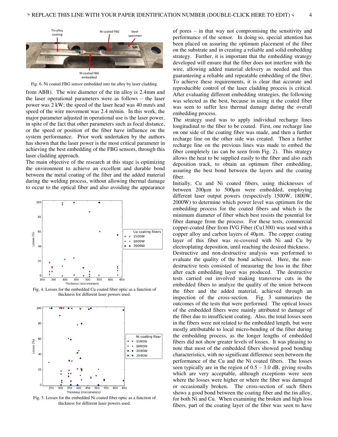

Fig. 6. Ni coated FBG sensor embedded into tin alloy by laser cladding.

from ABB). The wire diameter of the tin alloy is 2.4mm and the laser operational parameters were as follows – the laser power was 2 kW; the speed of the laser head was 40 mm/s and speed of the wire movement was 2.4 m/min. In this work, the major parameter adjusted in operational use is the laser power, in spite of the fact that other parameters such as focal distance, or the speed or position of the fiber have influence on the system performance. Prior work undertaken by the authors has shown that the laser power is the most critical parameter in achieving the best embedding of the FBG sensors, through this laser cladding approach.

The main objective of the research at this stage is optimizing the environment to achieve an excellent and durable bond between the metal coating of the fiber and the added material during the welding process, without allowing thermal damage to occur to the optical fiber and also avoiding the appearance



Fig. 4. Losses for the embedded Cu coated fiber optic as a function of thickness for different laser powers used.



Fig. 5. Losses for the embedded Ni coated fiber optic as a function of thickness for different laser powers used.

of pores – in that way not compromising the sensitivity and performance of the sensor. In doing so, special attention has been placed on assuring the optimum placement of the fiber on the substrate and in creating a reliable and solid embedding strategy. Further, it is important that the embedding strategy developed will ensure that the fiber does not interfere with the wire, allowing added material delivery as needed and thus guaranteeing a reliable and repeatable embedding of the fiber. To achieve these requirements, it is clear that accurate and reproducible control of the laser cladding process is critical. After evaluating different embedding strategies, the following was selected as the best, because in using it the coated fiber was seen to suffer less thermal damage during the overall embedding process.

The strategy used was to apply individual recharge lines longitudinal to the fiber to be coated. First, one recharge line on one side of the coating fiber was made, and then a further recharge line on the other side was created. Then a further recharge line on the previous lines was made to embed the fiber completely (as can be seen from Fig. 2). This strategy allows the heat to be supplied easily to the fiber and also each deposition track, to obtain an optimum fiber embedding, assuring the best bond between the layers and the coating fiber.

Initially, Cu and Ni coated fibers, using thicknesses of between 200µm to 500µm were embedded, employing different laser output powers (respectively 1500W, 1800W, 2000W) to determine which power level was optimum for the embedding process for the coated fibers and which is the minimum diameter of fiber which best resists the potential for fiber damage from the process. For these tests, commercial copper-coated fiber from IVG Fiber (Cu1300) was used with a copper alloy and carbon layers of 40µm. The copper coating layer of this fiber was re-covered with Ni and Cu by electroplating deposition, until reaching the desired thickness. Destructive and non-destructive analysis was performed to evaluate the quality of the bond achieved. Here, the nondestructive tests consisted of measuring the loss in the fiber after each embedding layer was produced. The destructive tests carried out involved making transverse cuts in the embedded fibers to analyze the quality of the union between the fiber and the added material, achieved through an inspection of the cross-section. Fig. 3 summarizes the outcomes of the tests that were performed. The optical losses of the embedded fibers were mainly attributed to damage of the fiber due to insufficient coating. Also, the total losses seen in the fibers were not related to the embedded length, but were mostly attributable to local micro-bending of the fiber during the embedding process, as the longer lengths of embedded fibers did not show greater levels of losses. It was pleasing to note that most of the embedded fibers showed good bonding characteristics, with no significant difference seen between the performance of the Cu and the Ni coated fibers. The losses seen typically are in the region of  $0.5 - 3.0$  dB, giving results which are very acceptable, although exceptions were seen where the losses were higher or where the fiber was damaged or occasionally broken. The cross-section of such fibers shows a good bond between the coating fiber and the tin alloy, for both Ni and Cu. When examining the broken and high loss fibers, part of the coating layer of the fiber was seen to have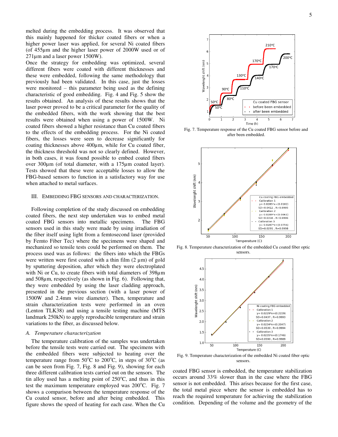melted during the embedding process. It was observed that this mainly happened for thicker coated fibers or when a higher power laser was applied, for several Ni coated fibers (of 455µm and the higher laser power of 2000W used or of 271µm and a laser power 1500W).

Once the strategy for embedding was optimized, several different fibers were coated with different thicknesses and these were embedded, following the same methodology that previously had been validated. In this case, just the losses were monitored – this parameter being used as the defining characteristic of good embedding. Fig. 4 and Fig. 5 show the results obtained. An analysis of these results shows that the laser power proved to be a critical parameter for the quality of the embedded fibers, with the work showing that the best results were obtained when using a power of 1500W. Ni coated fibers showed a higher resistance than Cu coated fibers to the effects of the embedding process. For the Ni coated fibers, the losses were seen to decrease significantly for coating thicknesses above 400µm, while for Cu coated fiber, the thickness threshold was not so clearly defined. However, in both cases, it was found possible to embed coated fibers over 300µm (of total diameter, with a 175µm coated layer). Tests showed that these were acceptable losses to allow the FBG-based sensors to function in a satisfactory way for use when attached to metal surfaces.

#### III. EMBEDDING FBG SENSORS AND CHARACTERIZATION.

Following completion of the study discussed on embedding coated fibers, the next step undertaken was to embed metal coated FBG sensors into metallic specimens. The FBG sensors used in this study were made by using irradiation of the fiber itself using light from a femtosecond laser (provided by Femto Fiber Tec) where the specimens were shaped and mechanized so tensile tests could be performed on them. The process used was as follows: the fibers into which the FBGs were written were first coated with a thin film  $(2 \mu m)$  of gold by sputtering deposition, after which they were electroplated with Ni or Cu, to create fibers with total diameters of 398µm and 508µm, respectively (as shown in Fig. 6). Following that, they were embedded by using the laser cladding approach, presented in the previous section (with a laser power of 1500W and 2.4mm wire diameter). Then, temperature and strain characterization tests were performed in an oven (Lenton TLK38) and using a tensile testing machine (MTS landmark 250kN) to apply reproducible temperature and strain variations to the fiber, as discussed below.

#### *A. Temperature characterization*

The temperature calibration of the samples was undertaken before the tensile tests were carried out. The specimens with the embedded fibers were subjected to heating over the temperature range from  $50^{\circ}$ C to  $200^{\circ}$ C, in steps of  $30^{\circ}$ C (as can be seen from Fig. 7, Fig. 8 and Fig. 9), showing for each three different calibration tests carried out on the sensors. The tin alloy used has a melting point of  $250^{\circ}$ C, and thus in this test the maximum temperature employed was  $200^{\circ}$ C. Fig. 7 shows a comparison between the temperature response of the Cu coated sensor, before and after being embedded. This figure shows the speed of heating for each case. When the Cu



Fig. 7. Temperature response of the Cu coated FBG sensor before and after been embedded.



Fig. 8. Temperature characterization of the embedded Cu coated fiber optic sensors.



Fig. 9. Temperature characterization of the embedded Ni coated fiber optic sensors.

coated FBG sensor is embedded, the temperature stabilization occurs around 33% slower than in the case where the FBG sensor is not embedded. This arises because for the first case, the total metal piece where the sensor is embedded has to reach the required temperature for achieving the stabilization condition. Depending of the volume and the geometry of the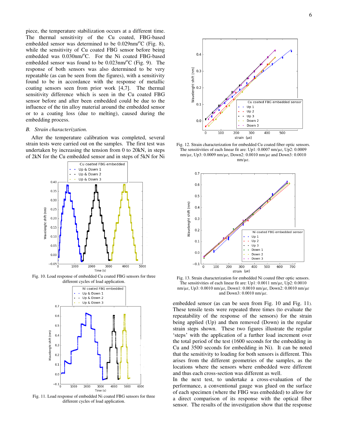piece, the temperature stabilization occurs at a different time. The thermal sensitivity of the Cu coated, FBG-based embedded sensor was determined to be  $0.029$ nm/ $\mathrm{^{\circ}C}$  (Fig. 8), while the sensitivity of Cu coated FBG sensor before being embedded was  $0.030$ nm/°C. For the Ni coated FBG-based embedded sensor was found to be  $0.023$ nm/ $\rm ^{o}C$  (Fig. 9). The response of both sensors was also determined to be very repeatable (as can be seen from the figures), with a sensitivity found to be in accordance with the response of metallic coating sensors seen from prior work [\[4,](#page-7-11)[7\]](#page-7-3). The thermal sensitivity difference which is seen in the Cu coated FBG sensor before and after been embedded could be due to the influence of the tin alloy material around the embedded sensor or to a coating loss (due to melting), caused during the embedding process.

#### *B. Strain characterization.*

After the temperature calibration was completed, several strain tests were carried out on the samples. The first test was undertaken by increasing the tension from 0 to 20kN, in steps of 2kN for the Cu embedded sensor and in steps of 5kN for Ni



Fig. 10. Load response of embedded Cu coated FBG sensors for three different cycles of load application.



Fig. 11. Load response of embedded Ni coated FBG sensors for three different cycles of load application.



Fig. 12. Strain characterization for embedded Cu coated fiber optic sensors. The sensitivities of each linear fit are: Up1: 0.0007 nm/µɛ, Up2: 0.0009 nm/µɛ, Up3: 0.0009 nm/µɛ, Down2: 0.0010 nm/µɛ and Down3: 0.0010 nm/µɛ.



Fig. 13. Strain characterization for embedded Ni coated fiber optic sensors. The sensitivities of each linear fit are: Up1: 0.0011 nm/µɛ, Up2: 0.0010 nm/µɛ, Up3: 0.0010 nm/µɛ, Down1: 0.0010 nm/µɛ, Down2: 0.0010 nm/µɛ and Down3: 0.0010 nm/µɛ.

embedded sensor (as can be seen from Fig. 10 and Fig. 11). These tensile tests were repeated three times (to evaluate the repeatability of the response of the sensors) for the strain being applied (Up) and then removed (Down) in the regular strain steps shown. These two figures illustrate the regular 'steps' with the application of a further load increment over the total period of the test (1600 seconds for the embedding in Cu and 3500 seconds for embedding in Ni). It can be noted that the sensitivity to loading for both sensors is different. This arises from the different geometries of the samples, as the locations where the sensors where embedded were different and thus each cross-section was different as well.

In the next test, to undertake a cross-evaluation of the performance, a conventional gauge was glued on the surface of each specimen (where the FBG was embedded) to allow for a direct comparison of its response with the optical fiber sensor. The results of the investigation show that the response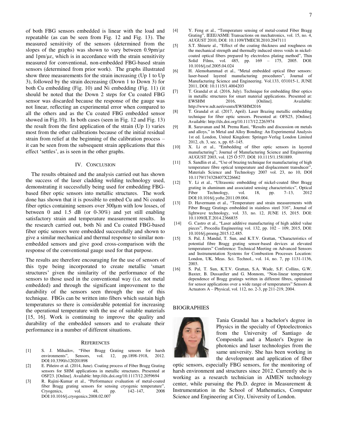of both FBG sensors embedded is linear with the load and repeatable (as can be seen from Fig. 12 and Fig. 13). The measured sensitivity of the sensors (determined from the slopes of the graphs) was shown to vary between  $0.9$ pm/ $\mu \varepsilon$ and  $1pm/\mu\epsilon$ , which is in accordance with the strain sensitivity measured for conventional, non-embedded FBG-based strain sensors (determined from prior work). The graphs illustrated show three measurements for the strain increasing (Up 1 to Up 3), followed by the strain decreasing (Down 1 to Down 3) for both Cu embedding (Fig. 10) and Ni embedding (Fig. 11) (it should be noted that the Down 2 steps for Cu coated FBG sensor was discarded because the response of the gauge was not linear, reflecting an experimental error when compared to all the others and as the Cu coated FBG embedded sensor showed in Fig.10). In both cases (seen in Fig. 12 and Fig. 13) the result from the first application of the strain (Up 1) varies most from the other calibrations because of the initial residual strain from relief at the beginning of the calibration process – it can be seen from the subsequent strain applications that this effect 'settles', as is seen in the other graphs.

#### IV. CONCLUSION

The results obtained and the analysis carried out has shown the success of the laser cladding welding technology used, demonstrating it successfully being used for embedding FBGbased fiber optic sensors into metallic structures. The work done has shown that it is possible to embed Cu and Ni coated fiber optics containing sensors over 300µm with low losses, of between 0 and 1.5 dB (or 0-30%) and yet still enabling satisfactory strain and temperature measurement results. In the research carried out, both Ni and Cu coated FBG-based fiber optic sensors were embedded successfully and shown to give a similar mechanical and thermal response to similar nonembedded sensors and give good cross-comparison with the response of the conventional gauge used for that purpose.

The results are therefore encouraging for the use of sensors of this type being incorporated to create metallic 'smart structures' given the similarity of the performance of the sensors to those used in the conventional way (i.e. not metal embedded) and through the significant improvement to the durability of the sensors seen through the use of this technique. FBGs can be written into fibers which sustain high temperatures so there is considerable potential for increasing the operational temperature with the use of suitable materials [15, 16]. Work is continuing to improve the quality and durability of the embedded sensors and to evaluate their performance in a number of different situations.

#### **REFERENCES**

- <span id="page-7-0"></span>[1] S. J. Mihailov, "Fiber Bragg Grating sensors for harsh environments", Sensors, vol. DOI:10.3390/s120201898
- <span id="page-7-1"></span>[2] E. Piñeiro et al. (2014, June). Coating process of Fiber Bragg Grating sensors for SHM applications in metallic structures. Presented at OSF23. [Online]. Available[: http://dx.doi.org/10.1117/12.2059694](http://dx.doi.org/10.1117/12.2059694)
- [3] R. Rajini-Kumar et al., "Performance evaluation of metal-coated fiber Bragg grating sensors for sensing cryogenic temperature", Cryogenics, vol. 48, pp. 142–147, 2008 DOI:10.1016/j.cryogenics.2008.02.007
- <span id="page-7-11"></span>[4] Y. Feng et al., "Temperature sensing of metal-coated Fiber Bragg Grating", IEEE/ASME Transactions on mechatronics, vol. 15, no. 4, AUGUST 2010, DOI: 10.1109/TMECH.2010.2047111
- [5] S.T. Shiuete al., "Effect of the coating thickness and roughness on the mechanical strength and thermally induced stress voids in nickelcoated optical fibers prepared by electroless plating method", Thin Solid Films, vol. 485, pp. 169 – 175, 2005. DOI: 10.1016/j.tsf.2005.04.024
- <span id="page-7-2"></span>[6] H. Alemohammad et al., "Metal embedded optical fiber sensors: laser-based layered manufacturing procedures", Journal of Manufacturing Science and Engineering. Vol.133, 031015-1, JUNE 2011, DOI: 10.1115/1.4004203
- <span id="page-7-3"></span>**[**7] T. Grandal et al. (2016, July). Technique for embedding fiber optics in metallic structures for smart material applications. Presented at: EWSHM 2016, [Online]. Available: <http://www.ndt.net/events/EWSHM2016>
- <span id="page-7-4"></span>[8] T. Grandal et al. (2017, April). Laser Brazing metallic embedding technique for fiber optic sensors. Presented at: OFS25, [Online]. Available:<http://dx.doi.org/10.1117/12.2263974>
- <span id="page-7-5"></span>[9] R. Saravanan and M. Prema Rani, "Results and discussion on metals and alloys," in Metal and Alloy Bonding: An Experimental Analysis 1st ed. London, United Kingdom: Springer-Verlag London Limited 2012, ch. 3, sec. x, pp. 65–145.
- <span id="page-7-6"></span>[10] X. Li et al., "Embedding of fiber optic sensors in layered manufacturing"; Journal of Manufacturing Science and Engineering AUGUST 2003, vol. 125 Õ 577. DOI: 10.1115/1.1581889.
- <span id="page-7-7"></span>[11] S. Sandlin et al., "Use of brazing technique for manufacturing of high temperature fibre optical temperature and displacement transducer", Materials Science and Technology 2007 vol. 23, no 10, DOI 10.1179/174328407X226662
- <span id="page-7-8"></span>[12] Y. Li et al., "Ultrasonic embedding of nickel-coated fiber Bragg grating in aluminum and associated sensing characteristics", Optical Fiber Technology, vol. 18, pp. 7–13, 2012 DOI:10.1016/j.yofte.2011.09.004.
- <span id="page-7-9"></span>[13] D. Havermann et al., "Temperature and strain measurements with Fiber Bragg Gratings embedded in stainless steel 316", Journal of lightwave technology, vol. 33, no. 12, JUNE 15, 2015. DOI: 10.1109/JLT.2014.2366835
- <span id="page-7-10"></span> [14] G. Castro et al., "Laser additive manufacturing of high added value pieces", Procedia Engineering vol. 132, pp. 102 – 109, 2015, DOI: 10.1016/j.proeng.2015.12.485.
- [15] S. Pal, J. Mandal, T. Sun, and K.T.V. Grattan, "Characteristics of potential fibre Bragg grating sensor-based devices at elevated temperatures" Conference: Technical Meeting on Advanced Sensors and Instrumentation Systems for Combustion Processes Location: London, UK, Meas. Sci. Technol., vol. 14, no. 7, pp 1131-1136, 2003.
- [16] S. Pal, T. Sun, K.T.V. Grattan, S.A. Wade, S.F. Collins, G.W. Baxter, B. Dussardier and G. Monnom, "Non-linear temperature dependence of Bragg gratings written in different fibres, optimised for sensor applications over a wide range of temperatures" Sensors & Actuators A – Physical, vol. 112, no. 2-3, pp 211-219, 2004.

#### BIOGRAPHIES



Tania Grandal has a bachelor's degree in Physics in the specialty of Optoelectronics from the University of Santiago de Compostela and a Master's Degree in photonics and laser technologies from the same university. She has been working in the development and application of fiber

optic sensors, especially FBG sensors, for the monitoring of harsh environment and structures since 2012. Currently she is working as a research technician in AIMEN technology center, while pursuing the Ph.D. degree in Measurement & Instrumentation in the School of Mathematics, Computer Science and Engineering at City, University of London.